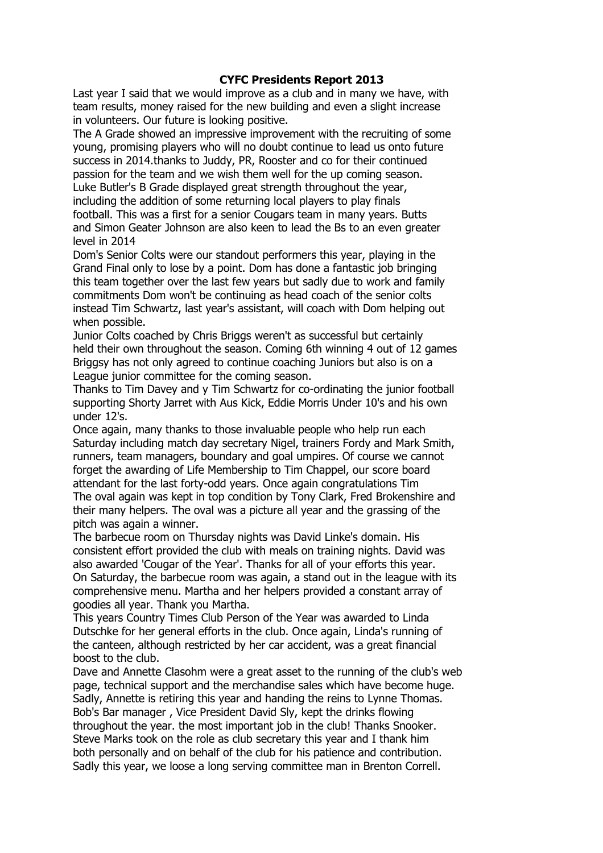## CYFC Presidents Report 2013

Last year I said that we would improve as a club and in many we have, with team results, money raised for the new building and even a slight increase in volunteers. Our future is looking positive.

The A Grade showed an impressive improvement with the recruiting of some young, promising players who will no doubt continue to lead us onto future success in 2014.thanks to Juddy, PR, Rooster and co for their continued passion for the team and we wish them well for the up coming season. Luke Butler's B Grade displayed great strength throughout the year, including the addition of some returning local players to play finals football. This was a first for a senior Cougars team in many years. Butts and Simon Geater Johnson are also keen to lead the Bs to an even greater level in 2014

Dom's Senior Colts were our standout performers this year, playing in the Grand Final only to lose by a point. Dom has done a fantastic job bringing this team together over the last few years but sadly due to work and family commitments Dom won't be continuing as head coach of the senior colts instead Tim Schwartz, last year's assistant, will coach with Dom helping out when possible.

Junior Colts coached by Chris Briggs weren't as successful but certainly held their own throughout the season. Coming 6th winning 4 out of 12 games Briggsy has not only agreed to continue coaching Juniors but also is on a League junior committee for the coming season.

Thanks to Tim Davey and y Tim Schwartz for co-ordinating the junior football supporting Shorty Jarret with Aus Kick, Eddie Morris Under 10's and his own under 12's.

Once again, many thanks to those invaluable people who help run each Saturday including match day secretary Nigel, trainers Fordy and Mark Smith, runners, team managers, boundary and goal umpires. Of course we cannot forget the awarding of Life Membership to Tim Chappel, our score board attendant for the last forty-odd years. Once again congratulations Tim The oval again was kept in top condition by Tony Clark, Fred Brokenshire and their many helpers. The oval was a picture all year and the grassing of the pitch was again a winner.

The barbecue room on Thursday nights was David Linke's domain. His consistent effort provided the club with meals on training nights. David was also awarded 'Cougar of the Year'. Thanks for all of your efforts this year. On Saturday, the barbecue room was again, a stand out in the league with its comprehensive menu. Martha and her helpers provided a constant array of goodies all year. Thank you Martha.

This years Country Times Club Person of the Year was awarded to Linda Dutschke for her general efforts in the club. Once again, Linda's running of the canteen, although restricted by her car accident, was a great financial boost to the club.

Dave and Annette Clasohm were a great asset to the running of the club's web page, technical support and the merchandise sales which have become huge. Sadly, Annette is retiring this year and handing the reins to Lynne Thomas. Bob's Bar manager , Vice President David Sly, kept the drinks flowing throughout the year. the most important job in the club! Thanks Snooker. Steve Marks took on the role as club secretary this year and I thank him both personally and on behalf of the club for his patience and contribution. Sadly this year, we loose a long serving committee man in Brenton Correll.